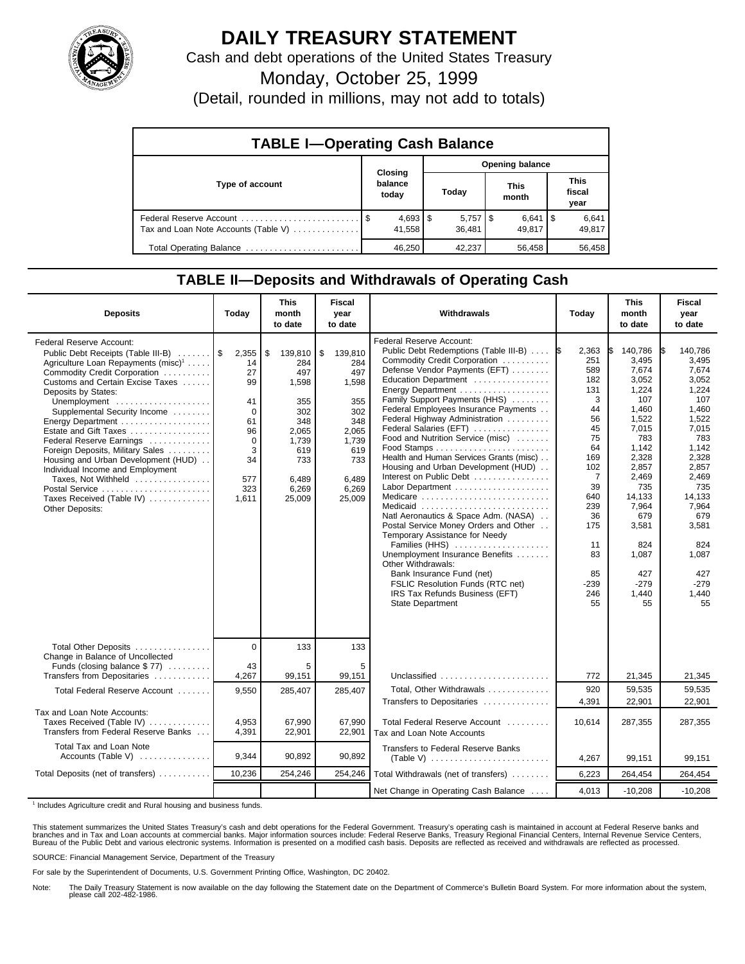

## **DAILY TREASURY STATEMENT**

Cash and debt operations of the United States Treasury

Monday, October 25, 1999

(Detail, rounded in millions, may not add to totals)

| <b>TABLE I-Operating Cash Balance</b> |  |                             |                 |                                 |  |                              |  |                        |  |
|---------------------------------------|--|-----------------------------|-----------------|---------------------------------|--|------------------------------|--|------------------------|--|
|                                       |  |                             | Opening balance |                                 |  |                              |  |                        |  |
| Type of account                       |  | Closing<br>balance<br>today |                 | Today                           |  | This<br>month                |  | This<br>fiscal<br>year |  |
| Tax and Loan Note Accounts (Table V)  |  | $4,693$   \$<br>41.558      |                 | $5,757$ $\frac{1}{3}$<br>36.481 |  | $6,641$ $\sqrt{5}$<br>49.817 |  | 6,641<br>49,817        |  |
| Total Operating Balance               |  | 46.250                      |                 | 42.237                          |  | 56,458                       |  | 56.458                 |  |

## **TABLE II—Deposits and Withdrawals of Operating Cash**

| <b>Deposits</b>                                                                                                                                                                                                                                                                                                                                                                                                                                                                                                                                | Today                                                                                                  | <b>This</b><br>month<br>to date                                                                                       | <b>Fiscal</b><br>year<br>to date                                                                                      | Withdrawals                                                                                                                                                                                                                                                                                                                                                                                                                                                                                                                                                                                                                                                                                                                                                                                                                                           | Today                                                                                                                                                                  | <b>This</b><br>month<br>to date                                                                                                                                                                                    | <b>Fiscal</b><br>year<br>to date                                                                                                                                                                                   |
|------------------------------------------------------------------------------------------------------------------------------------------------------------------------------------------------------------------------------------------------------------------------------------------------------------------------------------------------------------------------------------------------------------------------------------------------------------------------------------------------------------------------------------------------|--------------------------------------------------------------------------------------------------------|-----------------------------------------------------------------------------------------------------------------------|-----------------------------------------------------------------------------------------------------------------------|-------------------------------------------------------------------------------------------------------------------------------------------------------------------------------------------------------------------------------------------------------------------------------------------------------------------------------------------------------------------------------------------------------------------------------------------------------------------------------------------------------------------------------------------------------------------------------------------------------------------------------------------------------------------------------------------------------------------------------------------------------------------------------------------------------------------------------------------------------|------------------------------------------------------------------------------------------------------------------------------------------------------------------------|--------------------------------------------------------------------------------------------------------------------------------------------------------------------------------------------------------------------|--------------------------------------------------------------------------------------------------------------------------------------------------------------------------------------------------------------------|
| Federal Reserve Account:<br>Public Debt Receipts (Table III-B)<br>Agriculture Loan Repayments (misc) <sup>1</sup><br>Commodity Credit Corporation<br>Customs and Certain Excise Taxes<br>Deposits by States:<br>Unemployment<br>Supplemental Security Income<br>Energy Department<br>Estate and Gift Taxes<br>Federal Reserve Earnings<br>Foreign Deposits, Military Sales<br>Housing and Urban Development (HUD)<br>Individual Income and Employment<br>Taxes, Not Withheld<br>Postal Service<br>Taxes Received (Table IV)<br>Other Deposits: | 2,355<br>14<br>27<br>99<br>41<br>$\Omega$<br>61<br>96<br>$\mathbf 0$<br>3<br>34<br>577<br>323<br>1,611 | \$<br>139,810<br>284<br>497<br>1,598<br>355<br>302<br>348<br>2,065<br>1,739<br>619<br>733<br>6,489<br>6,269<br>25,009 | \$<br>139,810<br>284<br>497<br>1,598<br>355<br>302<br>348<br>2,065<br>1,739<br>619<br>733<br>6.489<br>6,269<br>25,009 | Federal Reserve Account:<br>Public Debt Redemptions (Table III-B)<br>Commodity Credit Corporation<br>Defense Vendor Payments (EFT)<br>Education Department<br>Energy Department<br>Family Support Payments (HHS)<br>Federal Employees Insurance Payments<br>Federal Highway Administration<br>Federal Salaries (EFT)<br>Food and Nutrition Service (misc)<br>Health and Human Services Grants (misc)<br>Housing and Urban Development (HUD)<br>Interest on Public Debt<br>Labor Department<br>Medicare<br>Medicaid<br>Natl Aeronautics & Space Adm. (NASA)<br>Postal Service Money Orders and Other<br>Temporary Assistance for Needy<br>Families (HHS)<br>Unemployment Insurance Benefits<br>Other Withdrawals:<br>Bank Insurance Fund (net)<br><b>FSLIC Resolution Funds (RTC net)</b><br>IRS Tax Refunds Business (EFT)<br><b>State Department</b> | 2,363<br>1\$<br>251<br>589<br>182<br>131<br>3<br>44<br>56<br>45<br>75<br>64<br>169<br>102<br>7<br>39<br>640<br>239<br>36<br>175<br>11<br>83<br>85<br>-239<br>246<br>55 | 140,786<br>3,495<br>7,674<br>3,052<br>1,224<br>107<br>1.460<br>1,522<br>7,015<br>783<br>1,142<br>2,328<br>2,857<br>2,469<br>735<br>14.133<br>7,964<br>679<br>3,581<br>824<br>1,087<br>427<br>$-279$<br>1,440<br>55 | 140,786<br>3.495<br>7,674<br>3,052<br>1,224<br>107<br>1.460<br>1,522<br>7,015<br>783<br>1.142<br>2,328<br>2,857<br>2,469<br>735<br>14.133<br>7,964<br>679<br>3,581<br>824<br>1,087<br>427<br>$-279$<br>1,440<br>55 |
| Total Other Deposits<br>Change in Balance of Uncollected                                                                                                                                                                                                                                                                                                                                                                                                                                                                                       | $\overline{0}$                                                                                         | 133                                                                                                                   | 133                                                                                                                   |                                                                                                                                                                                                                                                                                                                                                                                                                                                                                                                                                                                                                                                                                                                                                                                                                                                       |                                                                                                                                                                        |                                                                                                                                                                                                                    |                                                                                                                                                                                                                    |
| Funds (closing balance $$ 77$ )<br>Transfers from Depositaries                                                                                                                                                                                                                                                                                                                                                                                                                                                                                 | 43<br>4,267                                                                                            | 5<br>99,151                                                                                                           | 5<br>99,151                                                                                                           | Unclassified $\ldots \ldots \ldots \ldots \ldots \ldots$                                                                                                                                                                                                                                                                                                                                                                                                                                                                                                                                                                                                                                                                                                                                                                                              | 772                                                                                                                                                                    | 21,345                                                                                                                                                                                                             | 21,345                                                                                                                                                                                                             |
| Total Federal Reserve Account                                                                                                                                                                                                                                                                                                                                                                                                                                                                                                                  | 9,550                                                                                                  | 285,407                                                                                                               | 285,407                                                                                                               | Total, Other Withdrawals                                                                                                                                                                                                                                                                                                                                                                                                                                                                                                                                                                                                                                                                                                                                                                                                                              | 920                                                                                                                                                                    | 59,535                                                                                                                                                                                                             | 59,535                                                                                                                                                                                                             |
| Tax and Loan Note Accounts:<br>Taxes Received (Table IV)<br>Transfers from Federal Reserve Banks                                                                                                                                                                                                                                                                                                                                                                                                                                               | 4,953<br>4,391                                                                                         | 67,990<br>22,901                                                                                                      | 67,990<br>22,901                                                                                                      | Transfers to Depositaries<br>Total Federal Reserve Account<br>Tax and Loan Note Accounts                                                                                                                                                                                                                                                                                                                                                                                                                                                                                                                                                                                                                                                                                                                                                              | 4,391<br>10,614                                                                                                                                                        | 22,901<br>287,355                                                                                                                                                                                                  | 22,901<br>287,355                                                                                                                                                                                                  |
| Total Tax and Loan Note<br>Accounts (Table V)                                                                                                                                                                                                                                                                                                                                                                                                                                                                                                  | 9,344                                                                                                  | 90,892                                                                                                                | 90,892                                                                                                                | Transfers to Federal Reserve Banks<br>$(Table V)$                                                                                                                                                                                                                                                                                                                                                                                                                                                                                                                                                                                                                                                                                                                                                                                                     | 4,267                                                                                                                                                                  | 99,151                                                                                                                                                                                                             | 99,151                                                                                                                                                                                                             |
| Total Deposits (net of transfers)                                                                                                                                                                                                                                                                                                                                                                                                                                                                                                              | 10,236                                                                                                 | 254,246                                                                                                               | 254,246                                                                                                               | Total Withdrawals (net of transfers)                                                                                                                                                                                                                                                                                                                                                                                                                                                                                                                                                                                                                                                                                                                                                                                                                  | 6,223                                                                                                                                                                  | 264,454                                                                                                                                                                                                            | 264,454                                                                                                                                                                                                            |
|                                                                                                                                                                                                                                                                                                                                                                                                                                                                                                                                                |                                                                                                        |                                                                                                                       |                                                                                                                       | Net Change in Operating Cash Balance                                                                                                                                                                                                                                                                                                                                                                                                                                                                                                                                                                                                                                                                                                                                                                                                                  | 4,013                                                                                                                                                                  | $-10,208$                                                                                                                                                                                                          | $-10,208$                                                                                                                                                                                                          |

<sup>1</sup> Includes Agriculture credit and Rural housing and business funds.

This statement summarizes the United States Treasury's cash and debt operations for the Federal Government. Treasury's operating cash is maintained in account at Federal Reserve banks and<br>branches and in Tax and Loan accou

SOURCE: Financial Management Service, Department of the Treasury

For sale by the Superintendent of Documents, U.S. Government Printing Office, Washington, DC 20402.

Note: The Daily Treasury Statement is now available on the day following the Statement date on the Department of Commerce's Bulletin Board System. For more information about the system, please call 202-482-1986.